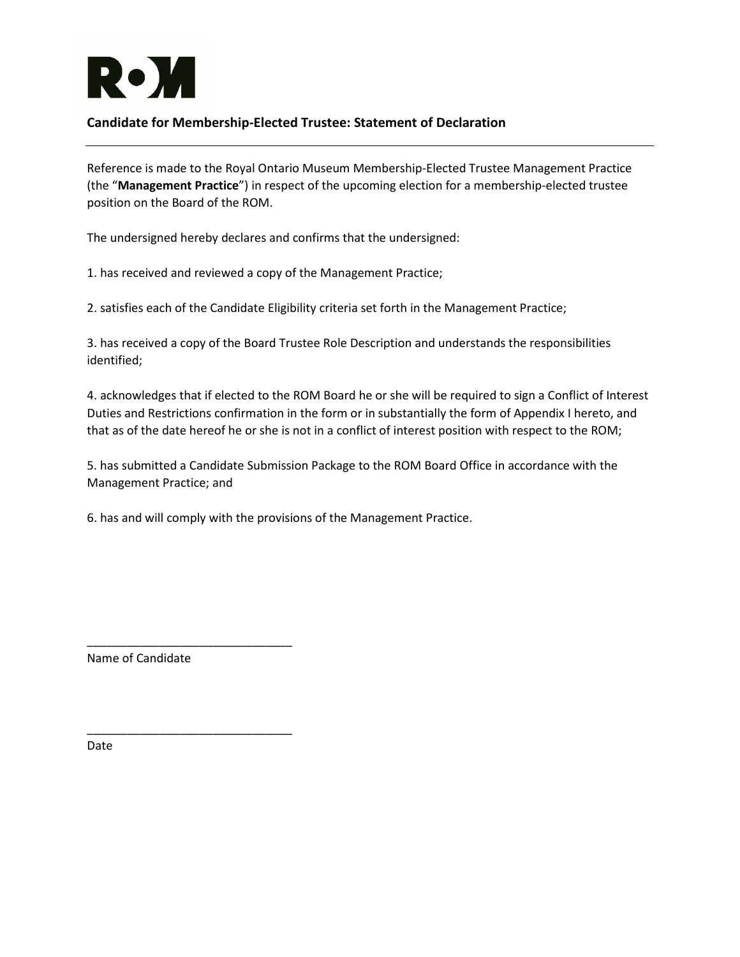

## **Candidate for Membership-Elected Trustee: Statement of Declaration**

Reference is made to the Royal Ontario Museum Membership-Elected Trustee Management Practice (the "**Management Practice**") in respect of the upcoming election for a membership-elected trustee position on the Board of the ROM.

The undersigned hereby declares and confirms that the undersigned:

1. has received and reviewed a copy of the Management Practice;

2. satisfies each of the Candidate Eligibility criteria set forth in the Management Practice;

3. has received a copy of the Board Trustee Role Description and understands the responsibilities identified;

4. acknowledges that if elected to the ROM Board he or she will be required to sign a Conflict of Interest Duties and Restrictions confirmation in the form or in substantially the form of Appendix I hereto, and that as of the date hereof he or she is not in a conflict of interest position with respect to the ROM;

5. has submitted a Candidate Submission Package to the ROM Board Office in accordance with the Management Practice; and

6. has and will comply with the provisions of the Management Practice.

Name of Candidate

\_\_\_\_\_\_\_\_\_\_\_\_\_\_\_\_\_\_\_\_\_\_\_\_\_\_\_\_\_\_\_

\_\_\_\_\_\_\_\_\_\_\_\_\_\_\_\_\_\_\_\_\_\_\_\_\_\_\_\_\_\_\_

Date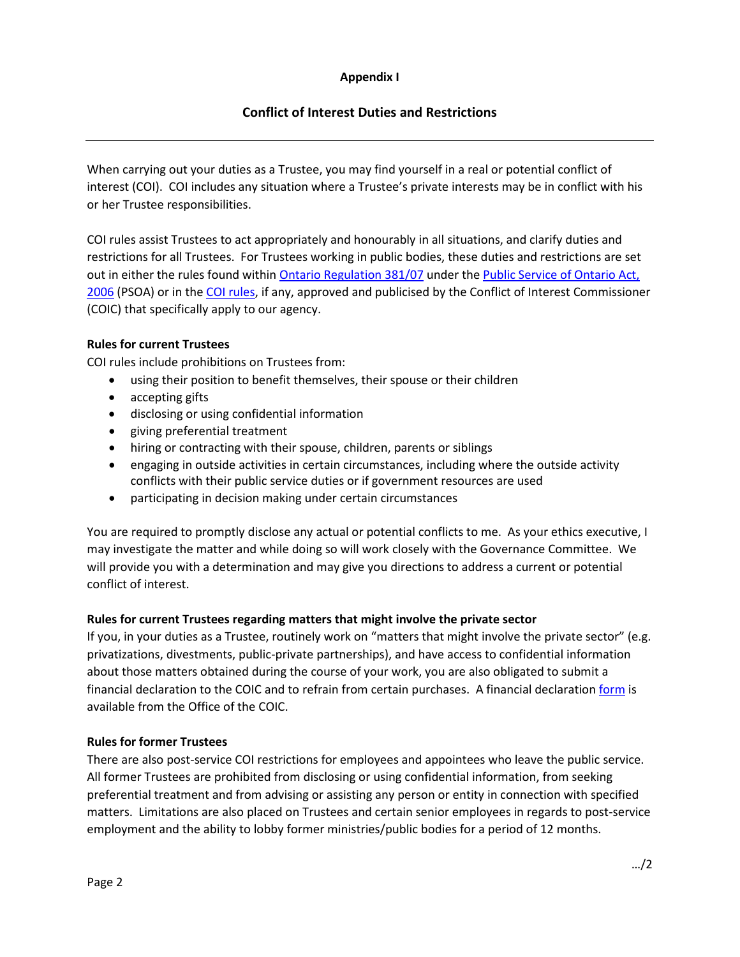### **Appendix I**

# **Conflict of Interest Duties and Restrictions**

When carrying out your duties as a Trustee, you may find yourself in a real or potential conflict of interest (COI). COI includes any situation where a Trustee's private interests may be in conflict with his or her Trustee responsibilities.

COI rules assist Trustees to act appropriately and honourably in all situations, and clarify duties and restrictions for all Trustees. For Trustees working in public bodies, these duties and restrictions are set out in either the rules found within [Ontario Regulation 381/07](https://www.ontario.ca/laws/regulation/070381) under th[e Public Service of Ontario Act,](https://www.ontario.ca/laws/statute/06p35)  [2006](https://www.ontario.ca/laws/statute/06p35) (PSOA) or in th[e COI rules,](https://www.ontario.ca/laws/regulation/070381) if any, approved and publicised by the Conflict of Interest Commissioner (COIC) that specifically apply to our agency.

### **Rules for current Trustees**

COI rules include prohibitions on Trustees from:

- using their position to benefit themselves, their spouse or their children
- accepting gifts
- disclosing or using confidential information
- giving preferential treatment
- hiring or contracting with their spouse, children, parents or siblings
- engaging in outside activities in certain circumstances, including where the outside activity conflicts with their public service duties or if government resources are used
- participating in decision making under certain circumstances

You are required to promptly disclose any actual or potential conflicts to me. As your ethics executive, I may investigate the matter and while doing so will work closely with the Governance Committee. We will provide you with a determination and may give you directions to address a current or potential conflict of interest.

### **Rules for current Trustees regarding matters that might involve the private sector**

If you, in your duties as a Trustee, routinely work on "matters that might involve the private sector" (e.g. privatizations, divestments, public-private partnerships), and have access to confidential information about those matters obtained during the course of your work, you are also obligated to submit a financial declaration to the COIC and to refrain from certain purchases. A financial declaratio[n form](http://www.coicommissioner.gov.on.ca/?cat=191) is available from the Office of the COIC.

### **Rules for former Trustees**

There are also post-service COI restrictions for employees and appointees who leave the public service. All former Trustees are prohibited from disclosing or using confidential information, from seeking preferential treatment and from advising or assisting any person or entity in connection with specified matters. Limitations are also placed on Trustees and certain senior employees in regards to post-service employment and the ability to lobby former ministries/public bodies for a period of 12 months.